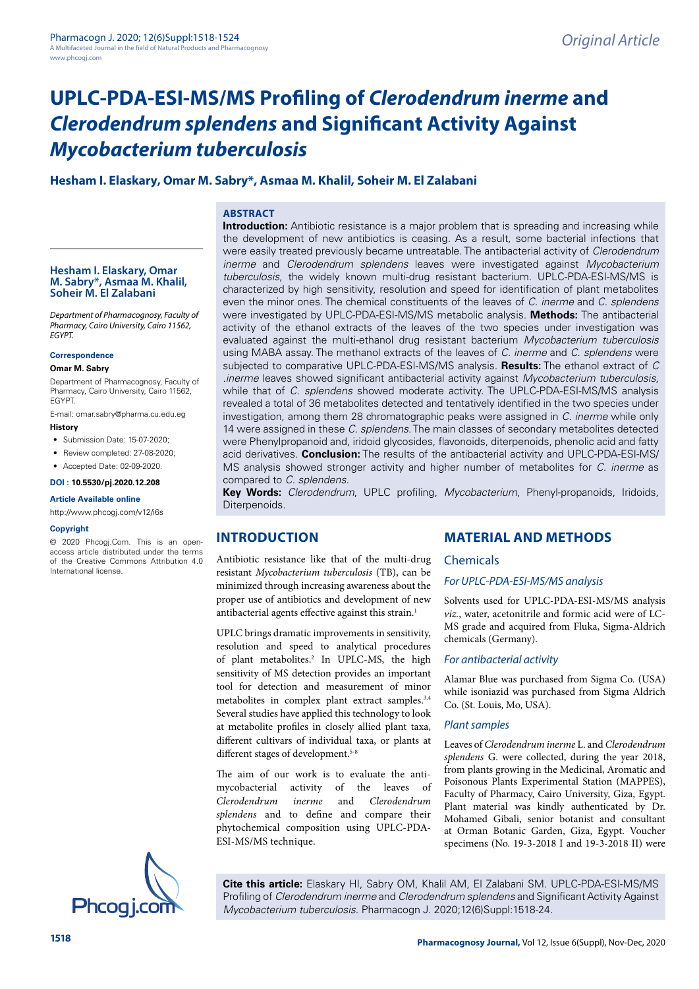# **UPLC-PDA-ESI-MS/MS Profiling of** *Clerodendrum inerme* **and**  *Clerodendrum splendens* **and Significant Activity Against**  *Mycobacterium tuberculosis*

## **Hesham I. Elaskary, Omar M. Sabry\*, Asmaa M. Khalil, Soheir M. El Zalabani**

## **ABSTRACT**

**Hesham I. Elaskary, Omar M. Sabry\*, Asmaa M. Khalil, Soheir M. El Zalabani**

*Department of Pharmacognosy, Faculty of Pharmacy, Cairo University, Cairo 11562, EGYPT.*

**Correspondence**

#### **Omar M. Sabry**

Department of Pharmacognosy, Faculty of Pharmacy, Cairo University, Cairo 11562, EGYPT.

E-mail: omar.sabry@pharma.cu.edu.eg **History**

- 
- Submission Date: 15-07-2020:
- Review completed: 27-08-2020;
- Accepted Date: 02-09-2020.

## **DOI : 10.5530/pj.2020.12.208**

#### **Article Available online**

http://www.phcogi.com/v12/i6s

#### **Copyright**

© 2020 Phcogj.Com. This is an openaccess article distributed under the terms of the Creative Commons Attribution 4.0 International license.

**Introduction:** Antibiotic resistance is a major problem that is spreading and increasing while the development of new antibiotics is ceasing. As a result, some bacterial infections that were easily treated previously became untreatable. The antibacterial activity of *Clerodendrum inerme* and *Clerodendrum splendens* leaves were investigated against *Mycobacterium tuberculosis*, the widely known multi-drug resistant bacterium. UPLC-PDA-ESI-MS/MS is characterized by high sensitivity, resolution and speed for identification of plant metabolites even the minor ones. The chemical constituents of the leaves of *C. inerme* and *C. splendens* were investigated by UPLC-PDA-ESI-MS/MS metabolic analysis. **Methods:** The antibacterial activity of the ethanol extracts of the leaves of the two species under investigation was evaluated against the multi-ethanol drug resistant bacterium *Mycobacterium tuberculosis* using MABA assay. The methanol extracts of the leaves of *C. inerme* and *C. splendens* were subjected to comparative UPLC-PDA-ESI-MS/MS analysis. **Results:** The ethanol extract of *C .inerme* leaves showed significant antibacterial activity against *Mycobacterium tuberculosis*, while that of *C. splendens* showed moderate activity. The UPLC-PDA-ESI-MS/MS analysis revealed a total of 36 metabolites detected and tentatively identified in the two species under investigation, among them 28 chromatographic peaks were assigned in *C. inerme* while only 14 were assigned in these *C. splendens*. The main classes of secondary metabolites detected were Phenylpropanoid and, iridoid glycosides, flavonoids, diterpenoids, phenolic acid and fatty acid derivatives. **Conclusion:** The results of the antibacterial activity and UPLC-PDA-ESI-MS/ MS analysis showed stronger activity and higher number of metabolites for *C. inerme* as compared to *C. splendens*.

**Key Words:** *Clerodendrum*, UPLC profiling, *Mycobacterium*, Phenyl-propanoids, Iridoids, Diterpenoids.

## **INTRODUCTION**

Antibiotic resistance like that of the multi-drug resistant *Mycobacterium tuberculosis* (TB), can be minimized through increasing awareness about the proper use of antibiotics and development of new antibacterial agents effective against this strain.<sup>1</sup>

UPLC brings dramatic improvements in sensitivity, resolution and speed to analytical procedures of plant metabolites.<sup>2</sup> In UPLC-MS, the high sensitivity of MS detection provides an important tool for detection and measurement of minor metabolites in complex plant extract samples.<sup>3,4</sup> Several studies have applied this technology to look at metabolite profiles in closely allied plant taxa, different cultivars of individual taxa, or plants at different stages of development.<sup>5-8</sup>

The aim of our work is to evaluate the antimycobacterial activity of the leaves of *Clerodendrum inerme* and *Clerodendrum splendens* and to define and compare their phytochemical composition using UPLC-PDA-ESI-MS/MS technique.

## **MATERIAL AND METHODS**

#### Chemicals

#### *For UPLC-PDA-ESI-MS/MS analysis*

Solvents used for UPLC-PDA-ESI-MS/MS analysis *viz.*, water, acetonitrile and formic acid were of LC-MS grade and acquired from Fluka, Sigma-Aldrich chemicals (Germany).

#### *For antibacterial activity*

Alamar Blue was purchased from Sigma Co. (USA) while isoniazid was purchased from Sigma Aldrich Co. (St. Louis, Mo, USA).

#### *Plant samples*

Leaves of *Clerodendrum inerme* L. and *Clerodendrum splendens* G. were collected, during the year 2018, from plants growing in the Medicinal, Aromatic and Poisonous Plants Experimental Station (MAPPES), Faculty of Pharmacy, Cairo University, Giza, Egypt. Plant material was kindly authenticated by Dr. Mohamed Gibali, senior botanist and consultant at Orman Botanic Garden, Giza, Egypt. Voucher specimens (No. 19-3-2018 I and 19-3-2018 II) were



**Cite this article:** Elaskary HI, Sabry OM, Khalil AM, El Zalabani SM. UPLC-PDA-ESI-MS/MS Profiling of *Clerodendrum inerme* and *Clerodendrum splendens* and Significant Activity Against *Mycobacterium tuberculosis*. Pharmacogn J. 2020;12(6)Suppl:1518-24.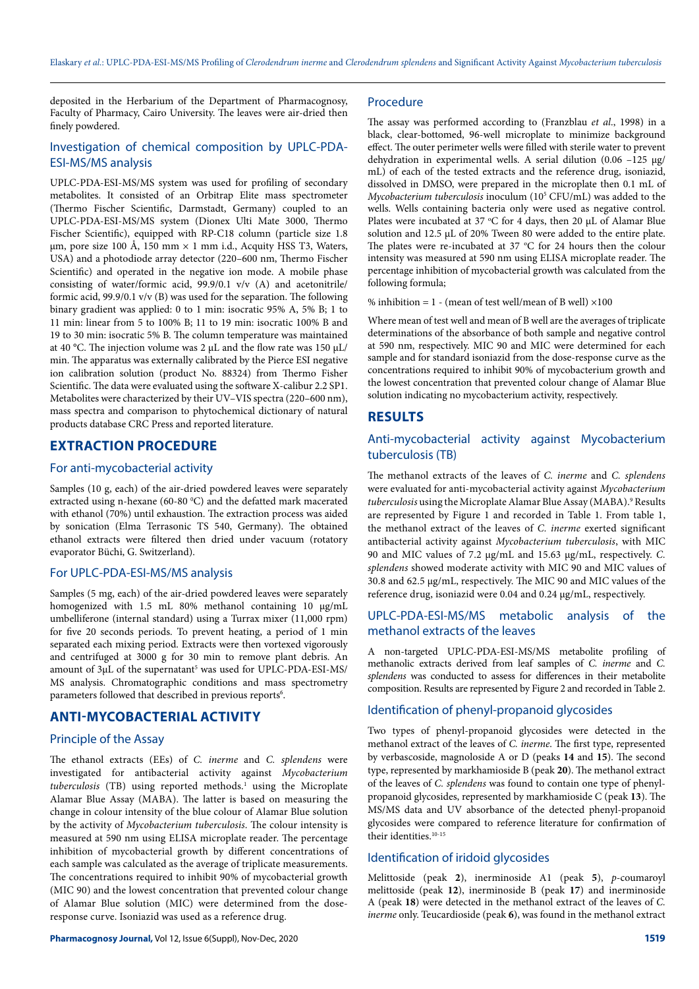deposited in the Herbarium of the Department of Pharmacognosy, Faculty of Pharmacy, Cairo University. The leaves were air-dried then finely powdered.

## Investigation of chemical composition by UPLC-PDA-ESI-MS/MS analysis

UPLC-PDA-ESI-MS/MS system was used for profiling of secondary metabolites. It consisted of an Orbitrap Elite mass spectrometer (Thermo Fischer Scientific, Darmstadt, Germany) coupled to an UPLC-PDA-ESI-MS/MS system (Dionex Ulti Mate 3000, Thermo Fischer Scientific), equipped with RP-C18 column (particle size 1.8 μm, pore size 100 Å, 150 mm  $\times$  1 mm i.d., Acquity HSS T3, Waters, USA) and a photodiode array detector (220–600 nm, Thermo Fischer Scientific) and operated in the negative ion mode. A mobile phase consisting of water/formic acid, 99.9/0.1 v/v (A) and acetonitrile/ formic acid, 99.9/0.1 v/v (B) was used for the separation. The following binary gradient was applied: 0 to 1 min: isocratic 95% A, 5% B; 1 to 11 min: linear from 5 to 100% B; 11 to 19 min: isocratic 100% B and 19 to 30 min: isocratic 5% B. The column temperature was maintained at 40 °C. The injection volume was 2 μL and the flow rate was 150 μL/ min. The apparatus was externally calibrated by the Pierce ESI negative ion calibration solution (product No. 88324) from Thermo Fisher Scientific. The data were evaluated using the software X-calibur 2.2 SP1. Metabolites were characterized by their UV–VIS spectra (220–600 nm), mass spectra and comparison to phytochemical dictionary of natural products database CRC Press and reported literature.

# **EXTRACTION PROCEDURE**

## For anti-mycobacterial activity

Samples (10 g, each) of the air-dried powdered leaves were separately extracted using n-hexane (60-80 °C) and the defatted mark macerated with ethanol (70%) until exhaustion. The extraction process was aided by sonication (Elma Terrasonic TS 540, Germany). The obtained ethanol extracts were filtered then dried under vacuum (rotatory evaporator Büchi, G. Switzerland).

## For UPLC-PDA-ESI-MS/MS analysis

Samples (5 mg, each) of the air-dried powdered leaves were separately homogenized with 1.5 mL 80% methanol containing 10  $\mu$ g/mL umbelliferone (internal standard) using a Turrax mixer (11,000 rpm) for five 20 seconds periods. To prevent heating, a period of 1 min separated each mixing period. Extracts were then vortexed vigorously and centrifuged at 3000 g for 30 min to remove plant debris. An amount of 3µL of the supernatant<sup>5</sup> was used for UPLC-PDA-ESI-MS/ MS analysis. Chromatographic conditions and mass spectrometry parameters followed that described in previous reports<sup>6</sup>.

## **ANTI-MYCOBACTERIAL ACTIVITY**

#### Principle of the Assay

The ethanol extracts (EEs) of *C. inerme* and *C. splendens* were investigated for antibacterial activity against *Mycobacterium*  tuberculosis (TB) using reported methods.<sup>1</sup> using the Microplate Alamar Blue Assay (MABA). The latter is based on measuring the change in colour intensity of the blue colour of Alamar Blue solution by the activity of *Mycobacterium tuberculosis*. The colour intensity is measured at 590 nm using ELISA microplate reader. The percentage inhibition of mycobacterial growth by different concentrations of each sample was calculated as the average of triplicate measurements. The concentrations required to inhibit 90% of mycobacterial growth (MIC 90) and the lowest concentration that prevented colour change of Alamar Blue solution (MIC) were determined from the doseresponse curve. Isoniazid was used as a reference drug.

## Procedure

The assay was performed according to (Franzblau *et al*., 1998) in a black, clear-bottomed, 96-well microplate to minimize background effect. The outer perimeter wells were filled with sterile water to prevent dehydration in experimental wells. A serial dilution (0.06 –125 µg/ mL) of each of the tested extracts and the reference drug, isoniazid, dissolved in DMSO, were prepared in the microplate then 0.1 mL of *Mycobacterium tuberculosis* inoculum (105 CFU/mL) was added to the wells. Wells containing bacteria only were used as negative control. Plates were incubated at 37  $\degree$ C for 4 days, then 20 µL of Alamar Blue solution and 12.5 µL of 20% Tween 80 were added to the entire plate. The plates were re-incubated at  $37 \text{ °C}$  for 24 hours then the colour intensity was measured at 590 nm using ELISA microplate reader. The percentage inhibition of mycobacterial growth was calculated from the following formula;

% inhibition =  $1 -$  (mean of test well/mean of B well)  $\times 100$ 

Where mean of test well and mean of B well are the averages of triplicate determinations of the absorbance of both sample and negative control at 590 nm, respectively. MIC 90 and MIC were determined for each sample and for standard isoniazid from the dose-response curve as the concentrations required to inhibit 90% of mycobacterium growth and the lowest concentration that prevented colour change of Alamar Blue solution indicating no mycobacterium activity, respectively.

## **RESULTS**

## Anti-mycobacterial activity against Mycobacterium tuberculosis (TB)

The methanol extracts of the leaves of *C. inerme* and *C. splendens* were evaluated for anti-mycobacterial activity against *Mycobacterium*  tuberculosis using the Microplate Alamar Blue Assay (MABA).<sup>9</sup> Results are represented by Figure 1 and recorded in Table 1. From table 1, the methanol extract of the leaves of *C. inerme* exerted significant antibacterial activity against *Mycobacterium tuberculosis*, with MIC 90 and MIC values of 7.2 µg/mL and 15.63 µg/mL, respectively. *C. splendens* showed moderate activity with MIC 90 and MIC values of 30.8 and 62.5 µg/mL, respectively. The MIC 90 and MIC values of the reference drug, isoniazid were 0.04 and 0.24 µg/mL, respectively.

## UPLC-PDA-ESI-MS/MS metabolic analysis of the methanol extracts of the leaves

A non-targeted UPLC-PDA-ESI-MS/MS metabolite profiling of methanolic extracts derived from leaf samples of *C. inerme* and *C. splendens* was conducted to assess for differences in their metabolite composition. Results are represented by Figure 2 and recorded in Table 2.

## Identification of phenyl-propanoid glycosides

Two types of phenyl-propanoid glycosides were detected in the methanol extract of the leaves of *C. inerme*. The first type, represented by verbascoside, magnoloside A or D (peaks **14** and **15**). The second type, represented by markhamioside B (peak **20**). The methanol extract of the leaves of *C. splendens* was found to contain one type of phenylpropanoid glycosides, represented by markhamioside C (peak **13**). The MS/MS data and UV absorbance of the detected phenyl-propanoid glycosides were compared to reference literature for confirmation of their identities. $10-15$ 

## Identification of iridoid glycosides

Melittoside (peak **2**), inerminoside A1 (peak **5**), *p*-coumaroyl melittoside (peak **12**), inerminoside B (peak **17**) and inerminoside A (peak **18**) were detected in the methanol extract of the leaves of *C. inerme* only. Teucardioside (peak **6**), was found in the methanol extract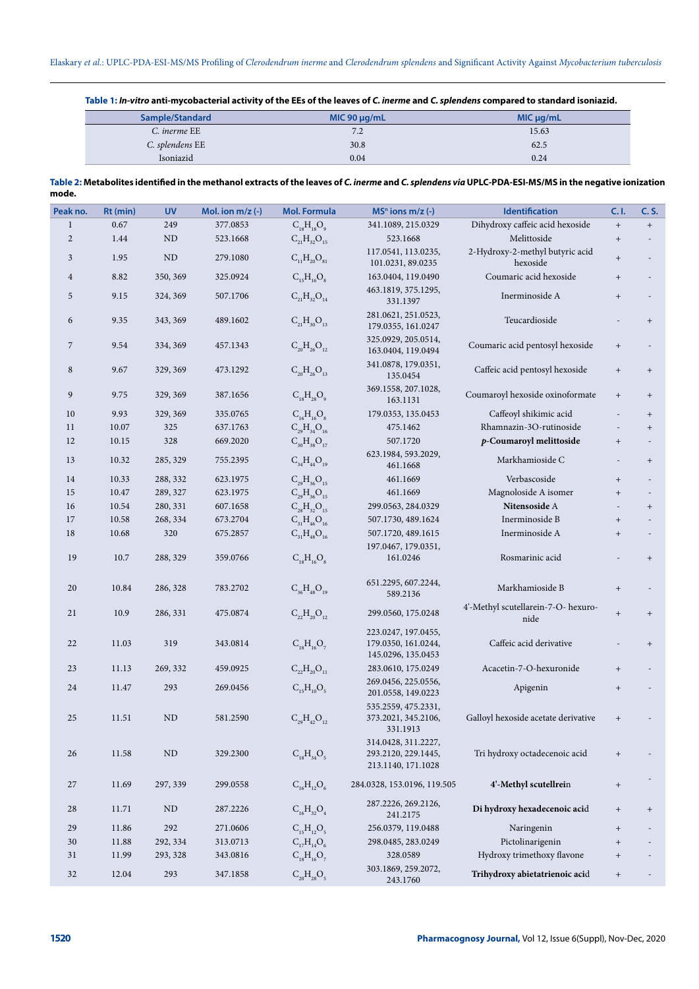**Table 1:** *In-vitro* **anti-mycobacterial activity of the EEs of the leaves of** *C. inerme* **and** *C. splendens* **compared to standard isoniazid.**

| Sample/Standard | MIC 90 $\mu$ g/mL | $MIC$ $\mu$ g/mL |  |  |
|-----------------|-------------------|------------------|--|--|
| C. inerme EE    | 7.2               | 15.63            |  |  |
| C. splendens EE | 30.8              | 62.5             |  |  |
| Isoniazid       | 0.04              | 0.24             |  |  |

| Table 2: Metabolites identified in the methanol extracts of the leaves of C. inerme and C. splendens via UPLC-PDA-ESI-MS/MS in the negative ionization |  |
|--------------------------------------------------------------------------------------------------------------------------------------------------------|--|
| mode.                                                                                                                                                  |  |

| Peak no.       | Rt (min) | <b>UV</b> | Mol. ion m/z (-) | <b>Mol. Formula</b>  | $MSn$ ions m/z (-)                                               | Identification                              | C.1.                             | C. S.                            |
|----------------|----------|-----------|------------------|----------------------|------------------------------------------------------------------|---------------------------------------------|----------------------------------|----------------------------------|
| $\mathbf{1}$   | 0.67     | 249       | 377.0853         | $C_{18}H_{18}O_9$    | 341.1089, 215.0329                                               | Dihydroxy caffeic acid hexoside             | $^+$                             | $\, +$                           |
| $\overline{c}$ | 1.44     | <b>ND</b> | 523.1668         | $C_{21}H_{32}O_{15}$ | 523.1668                                                         | Melittoside                                 | $^+$                             |                                  |
| 3              | 1.95     | <b>ND</b> | 279.1080         | $C_{11}H_{20}O_{81}$ | 117.0541, 113.0235,<br>101.0231, 89.0235                         | 2-Hydroxy-2-methyl butyric acid<br>hexoside | $^+$                             |                                  |
| $\overline{4}$ | 8.82     | 350, 369  | 325.0924         | $C_{15}H_{16}O_8$    | 163.0404, 119.0490                                               | Coumaric acid hexoside                      | $^{+}$                           |                                  |
| 5              | 9.15     | 324, 369  | 507.1706         | $C_{21}H_{32}O_{14}$ | 463.1819, 375.1295,<br>331.1397                                  | Inerminoside A                              | $^{+}$                           |                                  |
| 6              | 9.35     | 343, 369  | 489.1602         | $C_{21}H_{30}O_{13}$ | 281.0621, 251.0523,<br>179.0355, 161.0247                        | Teucardioside                               |                                  | $^{+}$                           |
| 7              | 9.54     | 334, 369  | 457.1343         | $C_{20}H_{26}O_{12}$ | 325.0929, 205.0514,<br>163.0404, 119.0494                        | Coumaric acid pentosyl hexoside             | $^{+}$                           |                                  |
| 8              | 9.67     | 329, 369  | 473.1292         | $C_{20}H_{26}O_{13}$ | 341.0878, 179.0351,<br>135.0454                                  | Caffeic acid pentosyl hexoside              | $\begin{array}{c} + \end{array}$ | $^{+}$                           |
| 9              | 9.75     | 329, 369  | 387.1656         | $C_{18}H_{28}O_9$    | 369.1558, 207.1028,<br>163.1131                                  | Coumaroyl hexoside oxinoformate             | $\begin{array}{c} + \end{array}$ | $+$                              |
| 10             | 9.93     | 329, 369  | 335.0765         | $C_{16}H_{16}O_8$    | 179.0353, 135.0453                                               | Caffeoyl shikimic acid                      |                                  | $^{+}$                           |
| 11             | 10.07    | 325       | 637.1763         | $C_{29}H_{34}O_{16}$ | 475.1462                                                         | Rhamnazin-3O-rutinoside                     |                                  | $^+$                             |
| 12             | 10.15    | 328       | 669.2020         | $C_{30}H_{38}O_{17}$ | 507.1720                                                         | p-Coumaroyl melittoside                     | $^{+}$                           | $\overline{\phantom{a}}$         |
| 13             | 10.32    | 285, 329  | 755.2395         | $C_{34}H_{44}O_{19}$ | 623.1984, 593.2029,<br>461.1668                                  | Markhamioside C                             |                                  | $\begin{array}{c} + \end{array}$ |
| 14             | 10.33    | 288, 332  | 623.1975         | $C_{29}H_{36}O_{15}$ | 461.1669                                                         | Verbascoside                                | $^{+}$                           |                                  |
| 15             | 10.47    | 289, 327  | 623.1975         | $C_{29}H_{36}O_{15}$ | 461.1669                                                         | Magnoloside A isomer                        | $+$                              |                                  |
| 16             | 10.54    | 280, 331  | 607.1658         | $C_{28}H_{32}O_{15}$ | 299.0563, 284.0329                                               | Nitensoside A                               |                                  | $^{+}$                           |
| 17             | 10.58    | 268, 334  | 673.2704         | $C_{31}H_{46}O_{16}$ | 507.1730, 489.1624                                               | Inerminoside B                              | $^+$                             |                                  |
| 18             | 10.68    | 320       | 675.2857         | $C_{31}H_{48}O_{16}$ | 507.1720, 489.1615                                               | Inerminoside A                              | $^+$                             |                                  |
|                |          |           |                  |                      | 197.0467, 179.0351,                                              |                                             |                                  |                                  |
| 19             | 10.7     | 288, 329  | 359.0766         | $C_{18}H_{16}O_8$    | 161.0246                                                         | Rosmarinic acid                             |                                  | $+$                              |
| 20             | 10.84    | 286, 328  | 783.2702         | $C_{36}H_{48}O_{19}$ | 651.2295, 607.2244,<br>589.2136                                  | Markhamioside B                             | $\begin{array}{c} + \end{array}$ |                                  |
| 21             | 10.9     | 286, 331  | 475.0874         | $C_{22}H_{20}O_{12}$ | 299.0560, 175.0248                                               | 4'-Methyl scutellarein-7-O- hexuro-<br>nide | $^+$                             | $\begin{array}{c} + \end{array}$ |
| 22             | 11.03    | 319       | 343.0814         | $C_{18}H_{16}O_7$    | 223.0247, 197.0455,<br>179.0350, 161.0244,<br>145.0296, 135.0453 | Caffeic acid derivative                     |                                  | $^{+}$                           |
| 23             | 11.13    | 269, 332  | 459.0925         | $C_{22}H_{20}O_{11}$ | 283.0610, 175.0249                                               | Acacetin-7-O-hexuronide                     | $\! + \!\!\!\!$                  |                                  |
| 24             | 11.47    | 293       | 269.0456         | $C_{15}H_{10}O_5$    | 269.0456, 225.0556,<br>201.0558, 149.0223                        | Apigenin                                    | $\begin{array}{c} + \end{array}$ |                                  |
| 25             | 11.51    | ND        | 581.2590         | $C_{29}H_{42}O_{12}$ | 535.2559, 475.2331,<br>373.2021, 345.2106,<br>331.1913           | Galloyl hexoside acetate derivative         | $\begin{array}{c} + \end{array}$ |                                  |
| 26             | 11.58    | ND        | 329.2300         | $C_{18}H_{34}O_5$    | 314.0428, 311.2227,<br>293.2120, 229.1445,<br>213.1140, 171.1028 | Tri hydroxy octadecenoic acid               | $^{+}$                           |                                  |
| 27             | 11.69    | 297, 339  | 299.0558         | $C_{16}H_{12}O_6$    | 284.0328, 153.0196, 119.505                                      | 4'-Methyl scutellrein                       | $\begin{array}{c} + \end{array}$ |                                  |
| 28             | 11.71    | ND        | 287.2226         | $C_{16}H_{32}O_4$    | 287.2226, 269.2126,<br>241.2175                                  | Di hydroxy hexadecenoic acid                | $\begin{array}{c} + \end{array}$ | $^{+}$                           |
| 29             | 11.86    | 292       | 271.0606         | $C_{15}H_{12}O_5$    | 256.0379, 119.0488                                               | Naringenin                                  | $^{+}$                           |                                  |
| 30             | 11.88    | 292, 334  | 313.0713         | $C_{17}H_{14}O_6$    | 298.0485, 283.0249                                               | Pictolinarigenin                            | $^+$                             |                                  |
| 31             | 11.99    | 293, 328  | 343.0816         | $C_{18}H_{16}O_7$    | 328.0589                                                         | Hydroxy trimethoxy flavone                  | $^{+}$                           |                                  |
| 32             | 12.04    | 293       | 347.1858         | $C_{20}H_{28}O_5$    | 303.1869, 259.2072,<br>243.1760                                  | Trihydroxy abietatrienoic acid              | $\begin{array}{c} + \end{array}$ |                                  |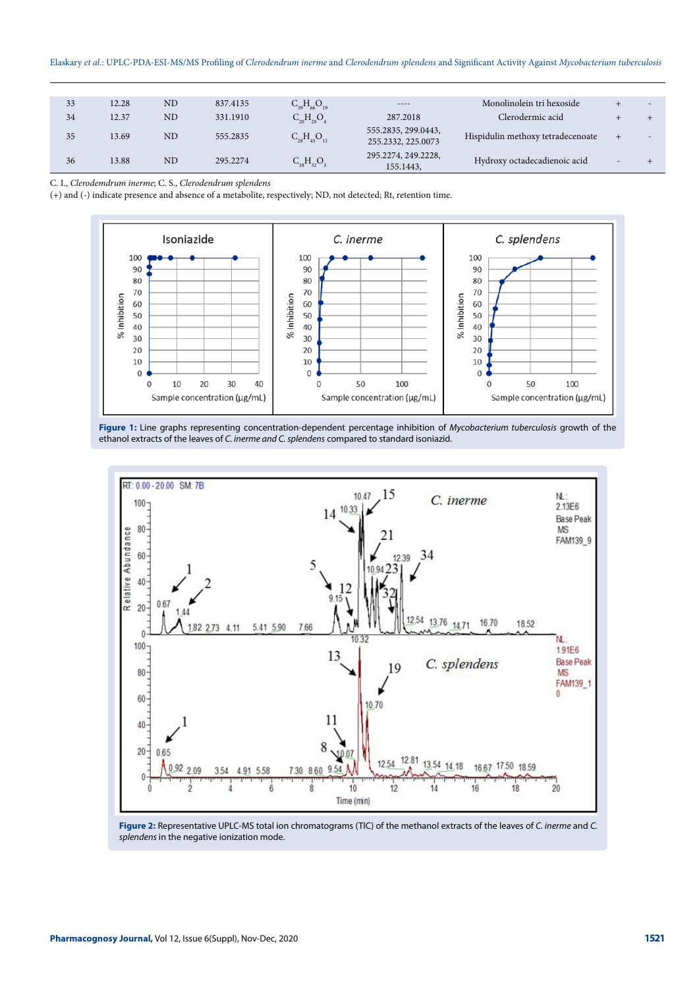| 33 | 12.28 | N <sub>D</sub> | 837.4135 | $C_{39}H_{66}O_{19}$ | ----                                      | Monolinolein tri hexoside         |                          | $\overline{\phantom{a}}$ |
|----|-------|----------------|----------|----------------------|-------------------------------------------|-----------------------------------|--------------------------|--------------------------|
| 34 | 12.37 | N <sub>D</sub> | 331.1910 | $C_{20}H_{28}O_4$    | 287.2018                                  | Clerodermic acid                  |                          |                          |
| 35 | 13.69 | <b>ND</b>      | 555.2835 | $C_{28}H_{43}O_{11}$ | 555.2835, 299.0443,<br>255.2332, 225.0073 | Hispidulin methoxy tetradecenoate | $+$                      | $\overline{\phantom{a}}$ |
| 36 | 13.88 | <b>ND</b>      | 295.2274 | $C_{18}H_{32}O_3$    | 295.2274, 249.2228,<br>155.1443,          | Hydroxy octadecadienoic acid      | $\overline{\phantom{a}}$ |                          |

C. I., *Clerodemdrum inerme*; C. S., *Clerodendrum splendens*

(+) and (-) indicate presence and absence of a metabolite, respectively; ND, not detected; Rt, retention time.



**Figure 1:** Line graphs representing concentration-dependent percentage inhibition of *Mycobacterium tuberculosis* growth of the ethanol extracts of the leaves of *C. inerme and C. splendens* compared to standard isoniazid.



**Figure 2:** Representative UPLC-MS total ion chromatograms (TIC) of the methanol extracts of the leaves of *C. inerme* and *C. splendens* in the negative ionization mode.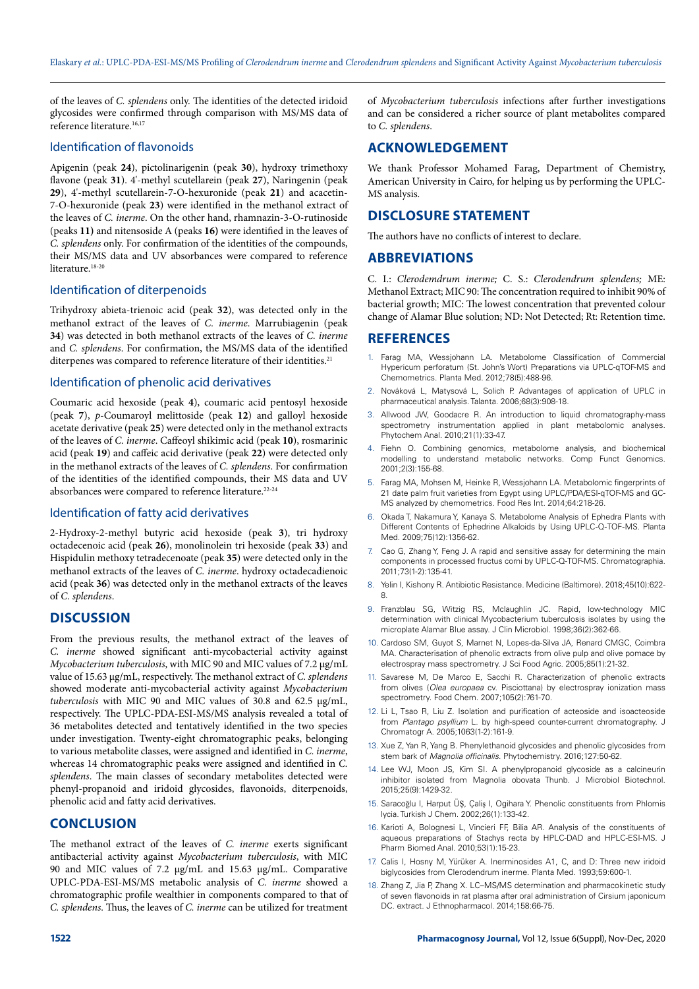of the leaves of *C. splendens* only. The identities of the detected iridoid glycosides were confirmed through comparison with MS/MS data of reference literature.<sup>16,17</sup>

## Identification of flavonoids

Apigenin (peak **24**), pictolinarigenin (peak **30**), hydroxy trimethoxy flavone (peak **31**). 4'-methyl scutellarein (peak **27**), Naringenin (peak **29**), 4'-methyl scutellarein-7-O-hexuronide (peak **21**) and acacetin-7-O-hexuronide (peak **23**) were identified in the methanol extract of the leaves of *C. inerme*. On the other hand, rhamnazin-3-O-rutinoside (peaks **11)** and nitensoside A (peaks **16)** were identified in the leaves of *C. splendens* only. For confirmation of the identities of the compounds, their MS/MS data and UV absorbances were compared to reference literature<sup>18-20</sup>

#### Identification of diterpenoids

Trihydroxy abieta-trienoic acid (peak **32**), was detected only in the methanol extract of the leaves of *C. inerme*. Marrubiagenin (peak **34**) was detected in both methanol extracts of the leaves of *C. inerme* and *C. splendens*. For confirmation, the MS/MS data of the identified diterpenes was compared to reference literature of their identities.<sup>21</sup>

#### Identification of phenolic acid derivatives

Coumaric acid hexoside (peak **4**), coumaric acid pentosyl hexoside (peak **7**), *p*-Coumaroyl melittoside (peak **12**) and galloyl hexoside acetate derivative (peak **25**) were detected only in the methanol extracts of the leaves of *C. inerme*. Caffeoyl shikimic acid (peak **10**), rosmarinic acid (peak **19**) and caffeic acid derivative (peak **22**) were detected only in the methanol extracts of the leaves of *C. splendens*. For confirmation of the identities of the identified compounds, their MS data and UV absorbances were compared to reference literature.<sup>22-24</sup>

#### Identification of fatty acid derivatives

2-Hydroxy-2-methyl butyric acid hexoside (peak **3**), tri hydroxy octadecenoic acid (peak **26**), monolinolein tri hexoside (peak **33**) and Hispidulin methoxy tetradecenoate (peak **35**) were detected only in the methanol extracts of the leaves of *C. inerme*. hydroxy octadecadienoic acid (peak **36**) was detected only in the methanol extracts of the leaves of *C. splendens*.

## **DISCUSSION**

From the previous results, the methanol extract of the leaves of *C. inerme* showed significant anti-mycobacterial activity against *Mycobacterium tuberculosis*, with MIC 90 and MIC values of 7.2 µg/mL value of 15.63 µg/mL, respectively. The methanol extract of *C. splendens*  showed moderate anti-mycobacterial activity against *Mycobacterium tuberculosis* with MIC 90 and MIC values of 30.8 and 62.5 µg/mL, respectively. The UPLC-PDA-ESI-MS/MS analysis revealed a total of 36 metabolites detected and tentatively identified in the two species under investigation. Twenty-eight chromatographic peaks, belonging to various metabolite classes, were assigned and identified in *C. inerme*, whereas 14 chromatographic peaks were assigned and identified in *C. splendens*. The main classes of secondary metabolites detected were phenyl-propanoid and iridoid glycosides, flavonoids, diterpenoids, phenolic acid and fatty acid derivatives.

## **CONCLUSION**

The methanol extract of the leaves of *C. inerme* exerts significant antibacterial activity against *Mycobacterium tuberculosis*, with MIC 90 and MIC values of 7.2 µg/mL and 15.63 µg/mL. Comparative UPLC-PDA-ESI-MS/MS metabolic analysis of *C. inerme* showed a chromatographic profile wealthier in components compared to that of *C. splendens*. Thus, the leaves of *C. inerme* can be utilized for treatment

of *Mycobacterium tuberculosis* infections after further investigations and can be considered a richer source of plant metabolites compared to *C. splendens*.

## **ACKNOWLEDGEMENT**

We thank Professor Mohamed Farag, Department of Chemistry, American University in Cairo, for helping us by performing the UPLC-MS analysis.

## **DISCLOSURE STATEMENT**

The authors have no conflicts of interest to declare.

#### **ABBREVIATIONS**

C. I.: *Clerodemdrum inerme;* C. S.: *Clerodendrum splendens;* ME: Methanol Extract; MIC 90: The concentration required to inhibit 90% of bacterial growth; MIC: The lowest concentration that prevented colour change of Alamar Blue solution; ND: Not Detected; Rt: Retention time.

#### **REFERENCES**

- 1. Farag MA, Wessjohann LA. Metabolome Classification of Commercial Hypericum perforatum (St. John's Wort) Preparations via UPLC-qTOF-MS and Chemometrics. Planta Med. 2012;78(5):488-96.
- 2. Nováková L, Matysová L, Solich P. Advantages of application of UPLC in pharmaceutical analysis. Talanta. 2006;68(3):908-18.
- 3. Allwood JW, Goodacre R. An introduction to liquid chromatography-mass spectrometry instrumentation applied in plant metabolomic analyses. Phytochem Anal. 2010;21(1):33-47.
- 4. Fiehn O. Combining genomics, metabolome analysis, and biochemical modelling to understand metabolic networks. Comp Funct Genomics. 2001;2(3):155-68.
- 5. Farag MA, Mohsen M, Heinke R, Wessjohann LA. Metabolomic fingerprints of 21 date palm fruit varieties from Egypt using UPLC/PDA/ESI-qTOF-MS and GC-MS analyzed by chemometrics. Food Res Int. 2014;64:218-26.
- 6. Okada T, Nakamura Y, Kanaya S. Metabolome Analysis of Ephedra Plants with Different Contents of Ephedrine Alkaloids by Using UPLC‐Q‐TOF‐MS. Planta Med. 2009;75(12):1356-62.
- 7. Cao G, Zhang Y, Feng J. A rapid and sensitive assay for determining the main components in processed fructus corni by UPLC-Q-TOF-MS. Chromatographia. 2011;73(1-2):135-41.
- 8. Yelin I, Kishony R. Antibiotic Resistance. Medicine (Baltimore). 2018;45(10):622- 8.
- 9. Franzblau SG, Witzig RS, Mclaughlin JC. Rapid, low-technology MIC determination with clinical Mycobacterium tuberculosis isolates by using the microplate Alamar Blue assay. J Clin Microbiol. 1998;36(2):362-66.
- 10. Cardoso SM, Guyot S, Marnet N, Lopes-da-Silva JA, Renard CMGC, Coimbra MA. Characterisation of phenolic extracts from olive pulp and olive pomace by electrospray mass spectrometry. J Sci Food Agric. 2005;85(1):21-32.
- 11. Savarese M, De Marco E, Sacchi R. Characterization of phenolic extracts from olives (*Olea europaea* cv. Pisciottana) by electrospray ionization mass spectrometry. Food Chem. 2007;105(2):761-70.
- 12. Li L, Tsao R, Liu Z. Isolation and purification of acteoside and isoacteoside from *Plantago psyllium* L. by high-speed counter-current chromatography. J Chromatogr A. 2005;1063(1-2):161-9.
- 13. Xue Z, Yan R, Yang B. Phenylethanoid glycosides and phenolic glycosides from stem bark of *Magnolia officinalis*. Phytochemistry. 2016;127:50-62.
- 14. Lee WJ, Moon JS, Kim SI. A phenylpropanoid glycoside as a calcineurin inhibitor isolated from Magnolia obovata Thunb. J Microbiol Biotechnol. 2015;25(9):1429-32.
- 15. Saracoǧlu I, Harput ÜŞ, Çaliş I, Ogihara Y. Phenolic constituents from Phlomis lycia. Turkish J Chem. 2002;26(1):133-42.
- 16. Karioti A, Bolognesi L, Vincieri FF, Bilia AR. Analysis of the constituents of aqueous preparations of Stachys recta by HPLC-DAD and HPLC-ESI-MS. J Pharm Biomed Anal. 2010;53(1):15-23.
- 17. Calis I, Hosny M, Yürüker A. Inerminosides A1, C, and D: Three new iridoid biglycosides from Clerodendrum inerme. Planta Med. 1993;59:600-1.
- 18. Zhang Z, Jia P, Zhang X. LC–MS/MS determination and pharmacokinetic study of seven flavonoids in rat plasma after oral administration of Cirsium japonicum DC. extract. J Ethnopharmacol. 2014;158:66-75.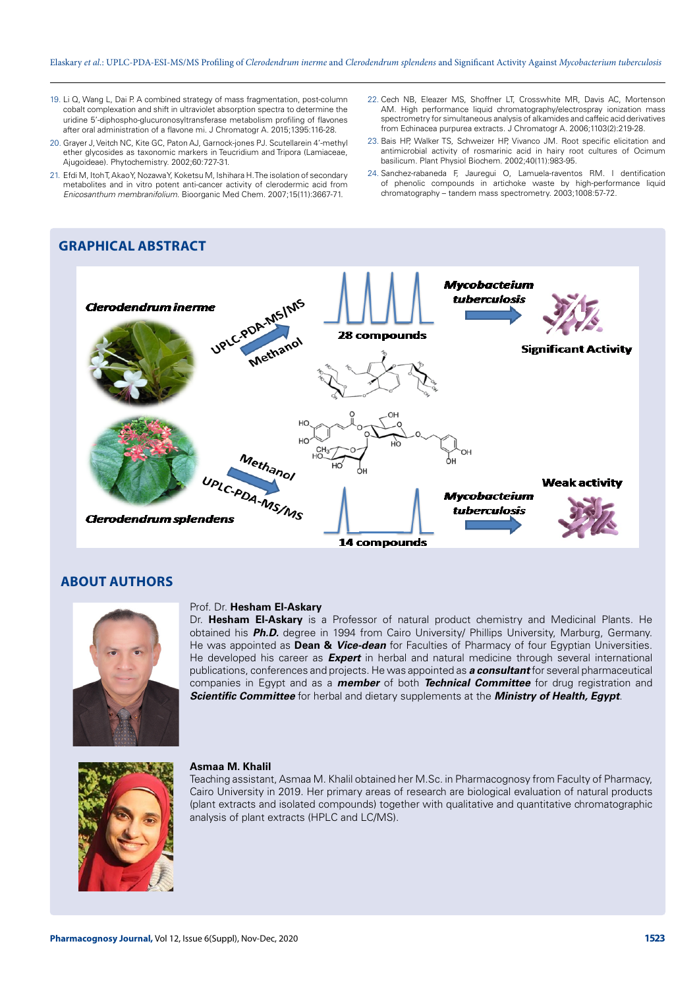- 19. Li Q, Wang L, Dai P. A combined strategy of mass fragmentation, post-column cobalt complexation and shift in ultraviolet absorption spectra to determine the uridine 5'-diphospho-glucuronosyltransferase metabolism profiling of flavones after oral administration of a flavone mi. J Chromatogr A. 2015;1395:116-28.
- 20. Grayer J, Veitch NC, Kite GC, Paton AJ, Garnock-jones PJ. Scutellarein 4'-methyl ether glycosides as taxonomic markers in Teucridium and Tripora (Lamiaceae, Ajugoideae). Phytochemistry. 2002;60:727-31.
- 21. Efdi M, Itoh T, Akao Y, Nozawa Y, Koketsu M, Ishihara H. The isolation of secondary metabolites and in vitro potent anti-cancer activity of clerodermic acid from *Enicosanthum membranifolium*. Bioorganic Med Chem. 2007;15(11):3667-71.
- 22. Cech NB, Eleazer MS, Shoffner LT, Crosswhite MR, Davis AC, Mortenson AM. High performance liquid chromatography/electrospray ionization mass spectrometry for simultaneous analysis of alkamides and caffeic acid derivatives from Echinacea purpurea extracts. J Chromatogr A. 2006;1103(2):219-28.
- 23. Bais HP, Walker TS, Schweizer HP, Vivanco JM. Root specific elicitation and antimicrobial activity of rosmarinic acid in hairy root cultures of Ocimum basilicum. Plant Physiol Biochem. 2002;40(11):983-95.
- 24. Sanchez-rabaneda F, Jauregui O, Lamuela-raventos RM. I dentification of phenolic compounds in artichoke waste by high-performance liquid chromatography – tandem mass spectrometry. 2003;1008:57-72.

# **GRAPHICAL ABSTRACT**



## **ABOUT AUTHORS**



#### Prof. Dr. **Hesham El-Askary**

Dr. **Hesham El-Askary** is a Professor of natural product chemistry and Medicinal Plants. He obtained his *Ph.D.* degree in 1994 from Cairo University/ Phillips University, Marburg, Germany. He was appointed as **Dean &** *Vice-dean* for Faculties of Pharmacy of four Egyptian Universities. He developed his career as *Expert* in herbal and natural medicine through several international publications, conferences and projects. He was appointed as *a consultant* for several pharmaceutical companies in Egypt and as a *member* of both *Technical Committee* for drug registration and *Scientific Committee* for herbal and dietary supplements at the *Ministry of Health, Egypt*.



#### **Asmaa M. Khalil**

Teaching assistant, Asmaa M. Khalil obtained her M.Sc. in Pharmacognosy from Faculty of Pharmacy, Cairo University in 2019. Her primary areas of research are biological evaluation of natural products (plant extracts and isolated compounds) together with qualitative and quantitative chromatographic analysis of plant extracts (HPLC and LC/MS).